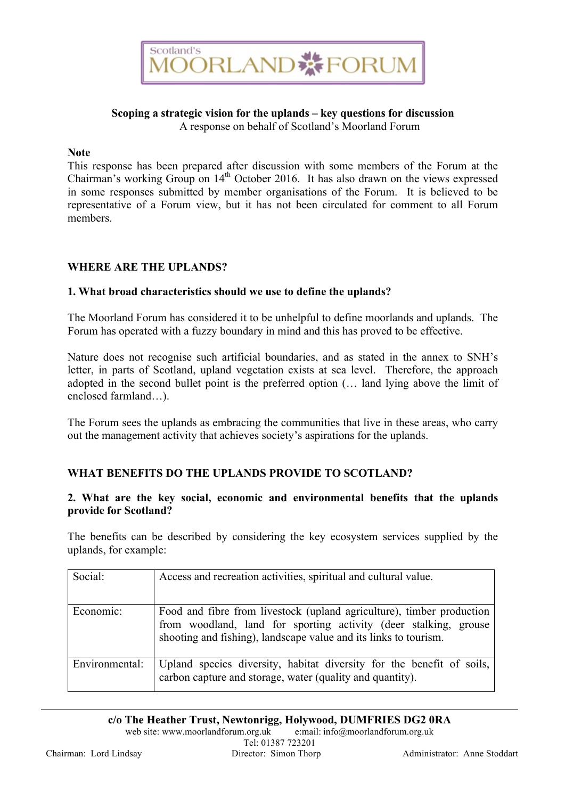

#### **Scoping a strategic vision for the uplands – key questions for discussion** A response on behalf of Scotland's Moorland Forum

#### **Note**

This response has been prepared after discussion with some members of the Forum at the Chairman's working Group on  $14<sup>th</sup>$  October 2016. It has also drawn on the views expressed in some responses submitted by member organisations of the Forum. It is believed to be representative of a Forum view, but it has not been circulated for comment to all Forum members.

## **WHERE ARE THE UPLANDS?**

## **1. What broad characteristics should we use to define the uplands?**

The Moorland Forum has considered it to be unhelpful to define moorlands and uplands. The Forum has operated with a fuzzy boundary in mind and this has proved to be effective.

Nature does not recognise such artificial boundaries, and as stated in the annex to SNH's letter, in parts of Scotland, upland vegetation exists at sea level. Therefore, the approach adopted in the second bullet point is the preferred option (… land lying above the limit of enclosed farmland…).

The Forum sees the uplands as embracing the communities that live in these areas, who carry out the management activity that achieves society's aspirations for the uplands.

#### **WHAT BENEFITS DO THE UPLANDS PROVIDE TO SCOTLAND?**

## **2. What are the key social, economic and environmental benefits that the uplands provide for Scotland?**

The benefits can be described by considering the key ecosystem services supplied by the uplands, for example:

| Social:        | Access and recreation activities, spiritual and cultural value.                                                                                                                                               |
|----------------|---------------------------------------------------------------------------------------------------------------------------------------------------------------------------------------------------------------|
| Economic:      | Food and fibre from livestock (upland agriculture), timber production<br>from woodland, land for sporting activity (deer stalking, grouse<br>shooting and fishing), landscape value and its links to tourism. |
| Environmental: | Upland species diversity, habitat diversity for the benefit of soils,<br>carbon capture and storage, water (quality and quantity).                                                                            |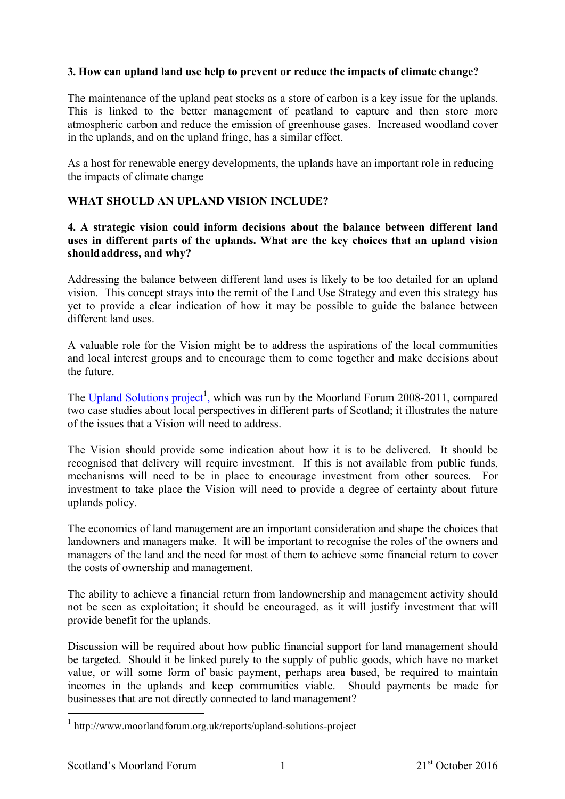# **3. How can upland land use help to prevent or reduce the impacts of climate change?**

The maintenance of the upland peat stocks as a store of carbon is a key issue for the uplands. This is linked to the better management of peatland to capture and then store more atmospheric carbon and reduce the emission of greenhouse gases. Increased woodland cover in the uplands, and on the upland fringe, has a similar effect.

As a host for renewable energy developments, the uplands have an important role in reducing the impacts of climate change

# **WHAT SHOULD AN UPLAND VISION INCLUDE?**

## **4. A strategic vision could inform decisions about the balance between different land uses in different parts of the uplands. What are the key choices that an upland vision shouldaddress, and why?**

Addressing the balance between different land uses is likely to be too detailed for an upland vision. This concept strays into the remit of the Land Use Strategy and even this strategy has yet to provide a clear indication of how it may be possible to guide the balance between different land uses.

A valuable role for the Vision might be to address the aspirations of the local communities and local interest groups and to encourage them to come together and make decisions about the future.

The Upland Solutions project<sup>1</sup>, which was run by the Moorland Forum 2008-2011, compared two case studies about local perspectives in different parts of Scotland; it illustrates the nature of the issues that a Vision will need to address.

The Vision should provide some indication about how it is to be delivered. It should be recognised that delivery will require investment. If this is not available from public funds, mechanisms will need to be in place to encourage investment from other sources. For investment to take place the Vision will need to provide a degree of certainty about future uplands policy.

The economics of land management are an important consideration and shape the choices that landowners and managers make. It will be important to recognise the roles of the owners and managers of the land and the need for most of them to achieve some financial return to cover the costs of ownership and management.

The ability to achieve a financial return from landownership and management activity should not be seen as exploitation; it should be encouraged, as it will justify investment that will provide benefit for the uplands.

Discussion will be required about how public financial support for land management should be targeted. Should it be linked purely to the supply of public goods, which have no market value, or will some form of basic payment, perhaps area based, be required to maintain incomes in the uplands and keep communities viable. Should payments be made for businesses that are not directly connected to land management?

 <sup>1</sup> http://www.moorlandforum.org.uk/reports/upland-solutions-project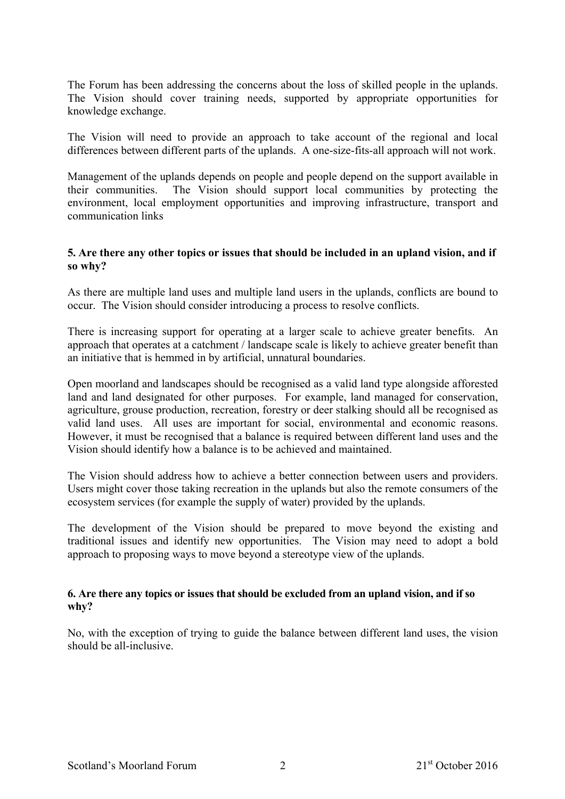The Forum has been addressing the concerns about the loss of skilled people in the uplands. The Vision should cover training needs, supported by appropriate opportunities for knowledge exchange.

The Vision will need to provide an approach to take account of the regional and local differences between different parts of the uplands. A one-size-fits-all approach will not work.

Management of the uplands depends on people and people depend on the support available in their communities. The Vision should support local communities by protecting the environment, local employment opportunities and improving infrastructure, transport and communication links

## **5. Are there any other topics or issues that should be included in an upland vision, and if so why?**

As there are multiple land uses and multiple land users in the uplands, conflicts are bound to occur. The Vision should consider introducing a process to resolve conflicts.

There is increasing support for operating at a larger scale to achieve greater benefits. An approach that operates at a catchment / landscape scale is likely to achieve greater benefit than an initiative that is hemmed in by artificial, unnatural boundaries.

Open moorland and landscapes should be recognised as a valid land type alongside afforested land and land designated for other purposes. For example, land managed for conservation, agriculture, grouse production, recreation, forestry or deer stalking should all be recognised as valid land uses. All uses are important for social, environmental and economic reasons. However, it must be recognised that a balance is required between different land uses and the Vision should identify how a balance is to be achieved and maintained.

The Vision should address how to achieve a better connection between users and providers. Users might cover those taking recreation in the uplands but also the remote consumers of the ecosystem services (for example the supply of water) provided by the uplands.

The development of the Vision should be prepared to move beyond the existing and traditional issues and identify new opportunities. The Vision may need to adopt a bold approach to proposing ways to move beyond a stereotype view of the uplands.

## **6. Are there any topics or issues that should be excluded from an upland vision, and if so why?**

No, with the exception of trying to guide the balance between different land uses, the vision should be all-inclusive.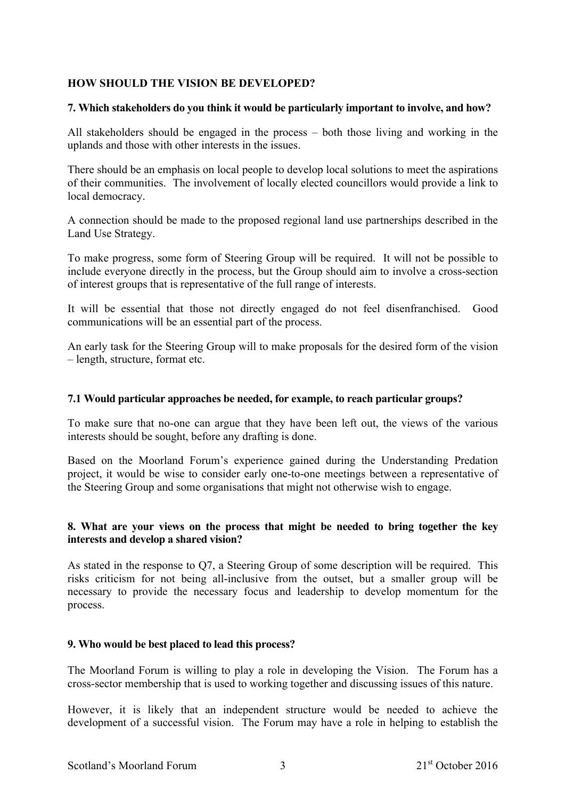## **HOW SHOULD THE VISION BE DEVELOPED?**

#### **7. Which stakeholders do you think it would be particularly important to involve, and how?**

All stakeholders should be engaged in the process – both those living and working in the uplands and those with other interests in the issues.

There should be an emphasis on local people to develop local solutions to meet the aspirations of their communities. The involvement of locally elected councillors would provide a link to local democracy.

A connection should be made to the proposed regional land use partnerships described in the Land Use Strategy.

To make progress, some form of Steering Group will be required. It will not be possible to include everyone directly in the process, but the Group should aim to involve a cross-section of interest groups that is representative of the full range of interests.

It will be essential that those not directly engaged do not feel disenfranchised. Good communications will be an essential part of the process.

An early task for the Steering Group will to make proposals for the desired form of the vision – length, structure, format etc.

#### **7.1 Would particular approaches be needed, for example, to reach particular groups?**

To make sure that no-one can argue that they have been left out, the views of the various interests should be sought, before any drafting is done.

Based on the Moorland Forum's experience gained during the Understanding Predation project, it would be wise to consider early one-to-one meetings between a representative of the Steering Group and some organisations that might not otherwise wish to engage.

#### **8. What are your views on the process that might be needed to bring together the key interests and develop a shared vision?**

As stated in the response to Q7, a Steering Group of some description will be required. This risks criticism for not being all-inclusive from the outset, but a smaller group will be necessary to provide the necessary focus and leadership to develop momentum for the process.

#### **9. Who would be best placed to lead this process?**

The Moorland Forum is willing to play a role in developing the Vision. The Forum has a cross-sector membership that is used to working together and discussing issues of this nature.

However, it is likely that an independent structure would be needed to achieve the development of a successful vision. The Forum may have a role in helping to establish the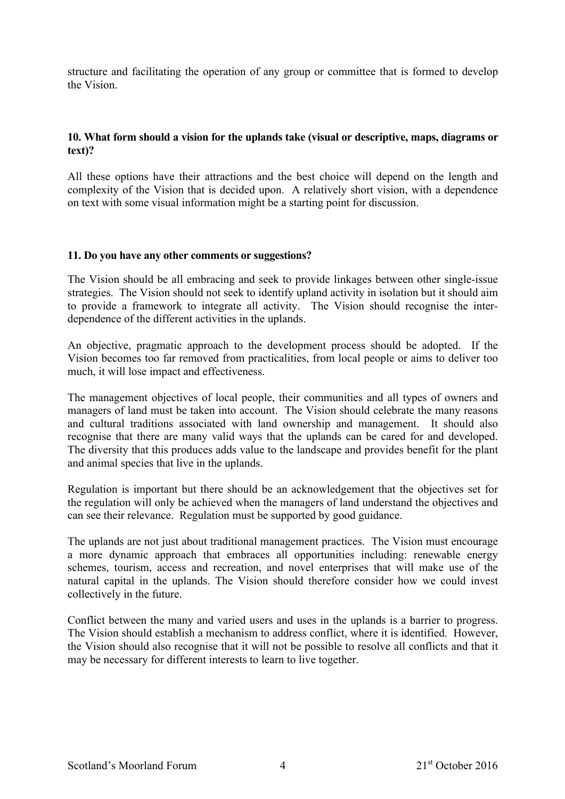structure and facilitating the operation of any group or committee that is formed to develop the Vision.

# **10. What form should a vision for the uplands take (visual or descriptive, maps, diagrams or text)?**

All these options have their attractions and the best choice will depend on the length and complexity of the Vision that is decided upon. A relatively short vision, with a dependence on text with some visual information might be a starting point for discussion.

## **11. Do you have any other comments or suggestions?**

The Vision should be all embracing and seek to provide linkages between other single-issue strategies. The Vision should not seek to identify upland activity in isolation but it should aim to provide a framework to integrate all activity. The Vision should recognise the interdependence of the different activities in the uplands.

An objective, pragmatic approach to the development process should be adopted. If the Vision becomes too far removed from practicalities, from local people or aims to deliver too much, it will lose impact and effectiveness.

The management objectives of local people, their communities and all types of owners and managers of land must be taken into account. The Vision should celebrate the many reasons and cultural traditions associated with land ownership and management. It should also recognise that there are many valid ways that the uplands can be cared for and developed. The diversity that this produces adds value to the landscape and provides benefit for the plant and animal species that live in the uplands.

Regulation is important but there should be an acknowledgement that the objectives set for the regulation will only be achieved when the managers of land understand the objectives and can see their relevance. Regulation must be supported by good guidance.

The uplands are not just about traditional management practices. The Vision must encourage a more dynamic approach that embraces all opportunities including: renewable energy schemes, tourism, access and recreation, and novel enterprises that will make use of the natural capital in the uplands. The Vision should therefore consider how we could invest collectively in the future.

Conflict between the many and varied users and uses in the uplands is a barrier to progress. The Vision should establish a mechanism to address conflict, where it is identified. However, the Vision should also recognise that it will not be possible to resolve all conflicts and that it may be necessary for different interests to learn to live together.